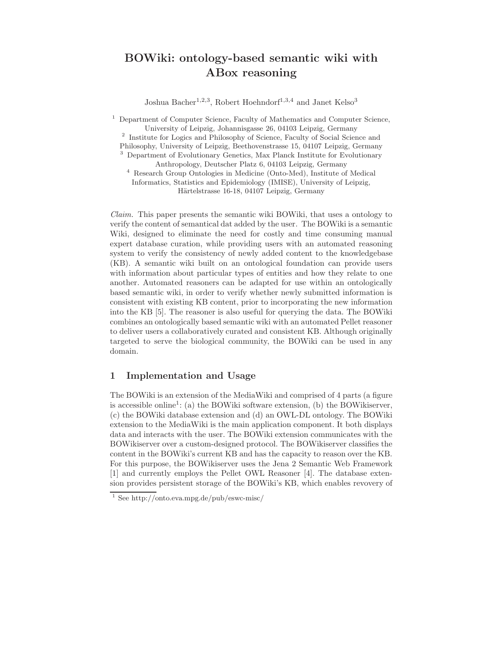## BOWiki: ontology-based semantic wiki with ABox reasoning

Joshua Bacher<sup>1,2,3</sup>, Robert Hoehndorf<sup>1,3,4</sup> and Janet Kelso<sup>3</sup>

<sup>1</sup> Department of Computer Science, Faculty of Mathematics and Computer Science, University of Leipzig, Johannisgasse 26, 04103 Leipzig, Germany <sup>2</sup> Institute for Logics and Philosophy of Science, Faculty of Social Science and Philosophy, University of Leipzig, Beethovenstrasse 15, 04107 Leipzig, Germany <sup>3</sup> Department of Evolutionary Genetics, Max Planck Institute for Evolutionary Anthropology, Deutscher Platz 6, 04103 Leipzig, Germany <sup>4</sup> Research Group Ontologies in Medicine (Onto-Med), Institute of Medical

Informatics, Statistics and Epidemiology (IMISE), University of Leipzig, Härtelstrasse 16-18, 04107 Leipzig, Germany

Claim. This paper presents the semantic wiki BOWiki, that uses a ontology to verify the content of semantical dat added by the user. The BOWiki is a semantic Wiki, designed to eliminate the need for costly and time consuming manual expert database curation, while providing users with an automated reasoning system to verify the consistency of newly added content to the knowledgebase (KB). A semantic wiki built on an ontological foundation can provide users with information about particular types of entities and how they relate to one another. Automated reasoners can be adapted for use within an ontologically based semantic wiki, in order to verify whether newly submitted information is consistent with existing KB content, prior to incorporating the new information into the KB [5]. The reasoner is also useful for querying the data. The BOWiki combines an ontologically based semantic wiki with an automated Pellet reasoner to deliver users a collaboratively curated and consistent KB. Although originally targeted to serve the biological community, the BOWiki can be used in any domain.

## 1 Implementation and Usage

The BOWiki is an extension of the MediaWiki and comprised of 4 parts (a figure is accessible online<sup>1</sup>: (a) the BOWiki software extension, (b) the BOWikiserver, (c) the BOWiki database extension and (d) an OWL-DL ontology. The BOWiki extension to the MediaWiki is the main application component. It both displays data and interacts with the user. The BOWiki extension communicates with the BOWikiserver over a custom-designed protocol. The BOWikiserver classifies the content in the BOWiki's current KB and has the capacity to reason over the KB. For this purpose, the BOWikiserver uses the Jena 2 Semantic Web Framework [1] and currently employs the Pellet OWL Reasoner [4]. The database extension provides persistent storage of the BOWiki's KB, which enables revovery of

<sup>1</sup> See http://onto.eva.mpg.de/pub/eswc-misc/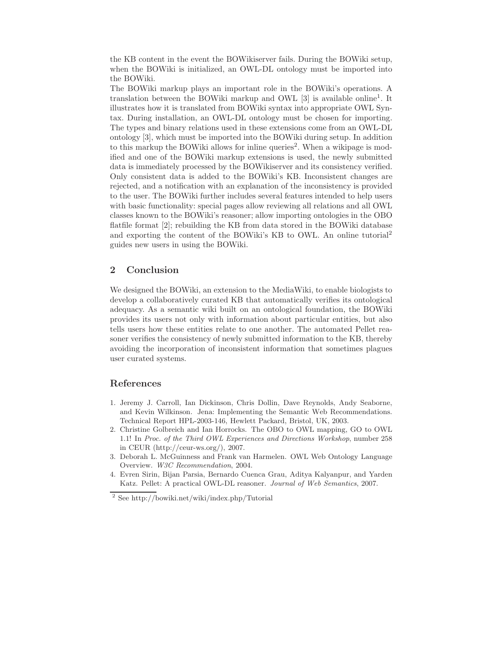the KB content in the event the BOWikiserver fails. During the BOWiki setup, when the BOWiki is initialized, an OWL-DL ontology must be imported into the BOWiki.

The BOWiki markup plays an important role in the BOWiki's operations. A translation between the BOWiki markup and OWL [3] is available online<sup>1</sup>. It illustrates how it is translated from BOWiki syntax into appropriate OWL Syntax. During installation, an OWL-DL ontology must be chosen for importing. The types and binary relations used in these extensions come from an OWL-DL ontology [3], which must be imported into the BOWiki during setup. In addition to this markup the BOWiki allows for inline queries<sup>2</sup>. When a wikipage is modified and one of the BOWiki markup extensions is used, the newly submitted data is immediately processed by the BOWikiserver and its consistency verified. Only consistent data is added to the BOWiki's KB. Inconsistent changes are rejected, and a notification with an explanation of the inconsistency is provided to the user. The BOWiki further includes several features intended to help users with basic functionality: special pages allow reviewing all relations and all OWL classes known to the BOWiki's reasoner; allow importing ontologies in the OBO flatfile format [2]; rebuilding the KB from data stored in the BOWiki database and exporting the content of the BOWiki's KB to OWL. An online tutorial<sup>2</sup> guides new users in using the BOWiki.

## 2 Conclusion

We designed the BOWiki, an extension to the MediaWiki, to enable biologists to develop a collaboratively curated KB that automatically verifies its ontological adequacy. As a semantic wiki built on an ontological foundation, the BOWiki provides its users not only with information about particular entities, but also tells users how these entities relate to one another. The automated Pellet reasoner verifies the consistency of newly submitted information to the KB, thereby avoiding the incorporation of inconsistent information that sometimes plagues user curated systems.

## References

- 1. Jeremy J. Carroll, Ian Dickinson, Chris Dollin, Dave Reynolds, Andy Seaborne, and Kevin Wilkinson. Jena: Implementing the Semantic Web Recommendations. Technical Report HPL-2003-146, Hewlett Packard, Bristol, UK, 2003.
- 2. Christine Golbreich and Ian Horrocks. The OBO to OWL mapping, GO to OWL 1.1! In Proc. of the Third OWL Experiences and Directions Workshop, number 258 in CEUR (http://ceur-ws.org/), 2007.
- 3. Deborah L. McGuinness and Frank van Harmelen. OWL Web Ontology Language Overview. W3C Recommendation, 2004.
- 4. Evren Sirin, Bijan Parsia, Bernardo Cuenca Grau, Aditya Kalyanpur, and Yarden Katz. Pellet: A practical OWL-DL reasoner. Journal of Web Semantics, 2007.

<sup>2</sup> See http://bowiki.net/wiki/index.php/Tutorial